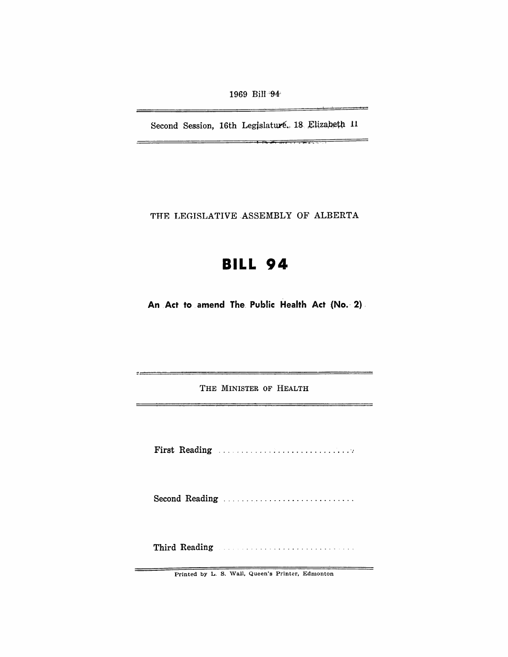1969 Bill<sup>-94</sup>

Second Session, 16th Legislaturé. 18 Elizabeth 11

 $\frac{1}{2}$  . The state  $\frac{1}{2}$  is the state of  $\frac{1}{2}$  in the state of  $\frac{1}{2}$ 

THE LEGISLATIVE ASSEMBLY OF ALBERTA

## **BILL 94**

An Act to amend The Public Health Act (No. 2)

THE MINISTER OF HEALTH

First Reading .................................

Second Reading ..............................

Third Reading Manual Manual Communications

Printed by L. S. Wall, Queen's Printer, Edmonton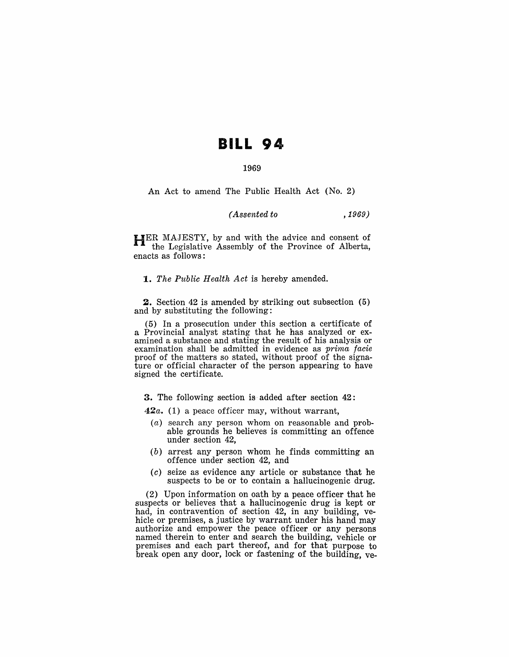## **BILL 94**

## 1969

An Act to amend The Public Health Act (No.2)

## *( Assented to* ,1969)

HER MAJESTY, by and with the advice and consent of the Legislative Assembly of the Province of Alberta, enacts as follows:

*1. The Public Health Act* is hereby amended.

**2.** Section 42 is amended by striking out subsection (5) and by substituting the following:

(5) In a prosecution under this section a certificate of a Provincial analyst stating that he has analyzed or examined a substance and stating the result of his analysis or examination shall be admitted in evidence as *prima facie*  proof of the matters so stated, without proof of the signature or official character of the person appearing to have signed the certificate.

**3.** The following section is added after section 42:

*42a.* (1) a peace officer may, without warrant,

- (a) search any person whom on reasonable and probable grounds he believes is committing an offence under section 42,
- (b) arrest any person whom he finds committing an offence under section 42, and
- (c) seize as evidence any article or substance that he suspects to be or to contain a hallucinogenic drug.

(2) Upon information on oath by a peace officer that he suspects or believes that a hallucinogenic drug is kept or had, in contravention of section 42, in any building, vehicle or premises, a justice by warrant under his hand may authorize and empower the peace officer or any persons named therein to enter and search the building, vehicle or premises and each part thereof, and for that purpose to break open any door, lock or fastening of the building, ve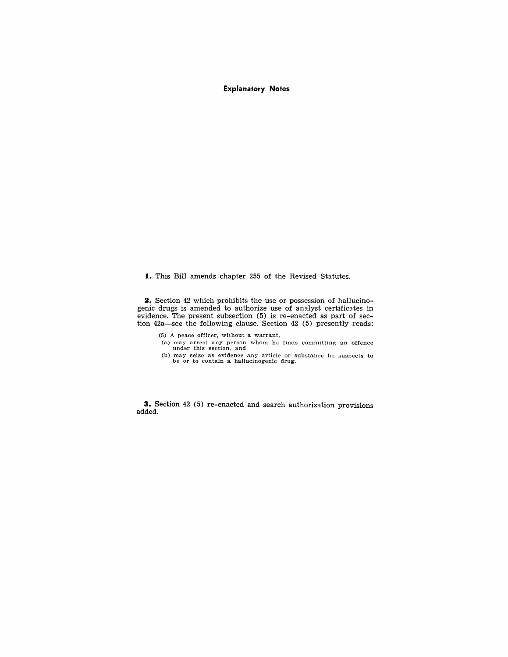**Explanatory Notes** 

**I.** This Bill amends chapter 255 of the Revised Statutes.

**2.** Section 42 which prohibits the use or possession of hallucinogenic drugs is amended to authorize use of analyst certificates in evidence. The present subsection (5) is re-enacted as part of section 42a-see the following clause. Section 42 (5) presently reads:

 $(5)$  A peace officer, without a warrant,

- (a) may arrest any person whom he finds committing an offence under this section, and
- (b) may seize as evidence any article or substance he suspects to be or to contain a hallucinogenic drug.

**3.** Section 42 (5) re-enacted and search authorization provisions added.